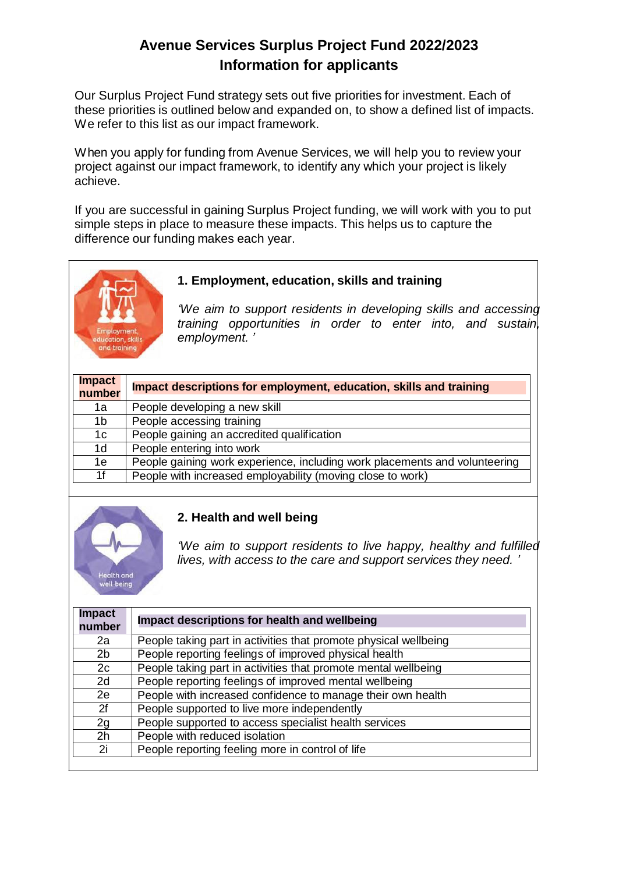# **Avenue Services Surplus Project Fund 2022/2023 Information for applicants**

Our Surplus Project Fund strategy sets out five priorities for investment. Each of these priorities is outlined below and expanded on, to show a defined list of impacts. We refer to this list as our impact framework.

When you apply for funding from Avenue Services, we will help you to review your project against our impact framework, to identify any which your project is likely achieve.

If you are successful in gaining Surplus Project funding, we will work with you to put simple steps in place to measure these impacts. This helps us to capture the difference our funding makes each year.



## **1. Employment, education, skills and training**

*'We aim to support residents in developing skills and accessing training opportunities in order to enter into, and sustain, employment. '*

| <b>Impact</b><br>number | Impact descriptions for employment, education, skills and training         |
|-------------------------|----------------------------------------------------------------------------|
| 1a                      | People developing a new skill                                              |
| 1 <sub>b</sub>          | People accessing training                                                  |
| 1 <sub>c</sub>          | People gaining an accredited qualification                                 |
| 1 <sub>d</sub>          | People entering into work                                                  |
| 1e                      | People gaining work experience, including work placements and volunteering |
| 1f                      | People with increased employability (moving close to work)                 |



#### **2. Health and well being**

*'We aim to support residents to live happy, healthy and fulfilled lives, with access to the care and support services they need. '*

| <b>Impact</b><br>number | Impact descriptions for health and wellbeing                     |
|-------------------------|------------------------------------------------------------------|
| 2a                      | People taking part in activities that promote physical wellbeing |
| 2 <sub>b</sub>          | People reporting feelings of improved physical health            |
| 2c                      | People taking part in activities that promote mental wellbeing   |
| 2d                      | People reporting feelings of improved mental wellbeing           |
| 2e                      | People with increased confidence to manage their own health      |
| 2f                      | People supported to live more independently                      |
| 2g                      | People supported to access specialist health services            |
| 2 <sub>h</sub>          | People with reduced isolation                                    |
| 2i                      | People reporting feeling more in control of life                 |